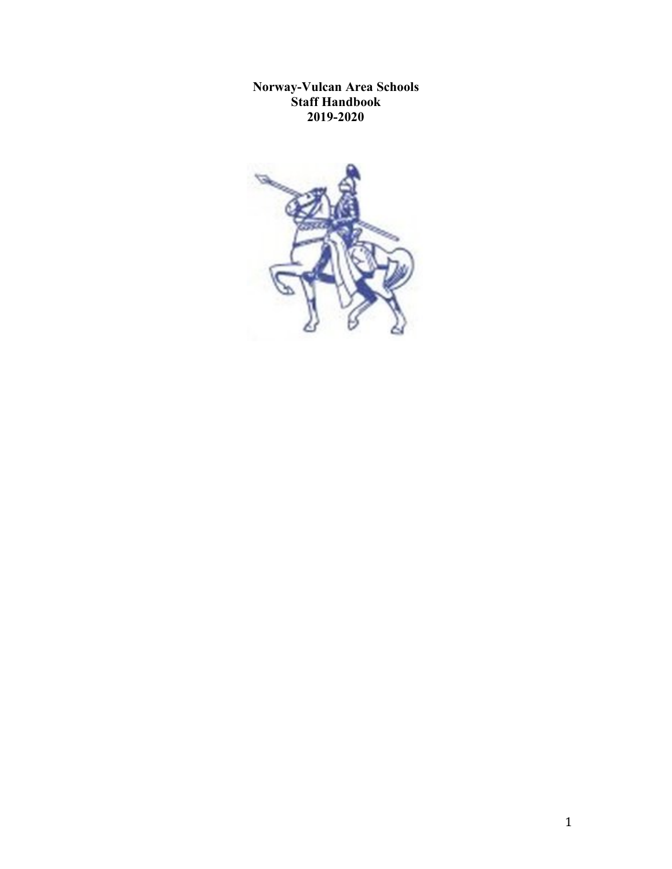**Norway-Vulcan Area Schools Staff Handbook 2019-2020**

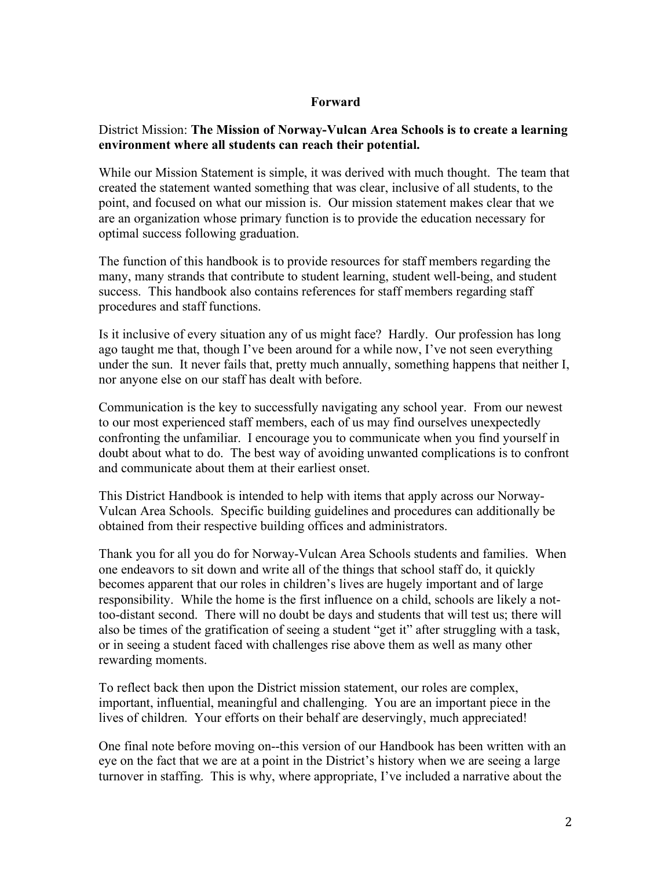### **Forward**

### District Mission: **The Mission of Norway-Vulcan Area Schools is to create a learning environment where all students can reach their potential.**

While our Mission Statement is simple, it was derived with much thought. The team that created the statement wanted something that was clear, inclusive of all students, to the point, and focused on what our mission is. Our mission statement makes clear that we are an organization whose primary function is to provide the education necessary for optimal success following graduation.

The function of this handbook is to provide resources for staff members regarding the many, many strands that contribute to student learning, student well-being, and student success. This handbook also contains references for staff members regarding staff procedures and staff functions.

Is it inclusive of every situation any of us might face? Hardly. Our profession has long ago taught me that, though I've been around for a while now, I've not seen everything under the sun. It never fails that, pretty much annually, something happens that neither I, nor anyone else on our staff has dealt with before.

Communication is the key to successfully navigating any school year. From our newest to our most experienced staff members, each of us may find ourselves unexpectedly confronting the unfamiliar. I encourage you to communicate when you find yourself in doubt about what to do. The best way of avoiding unwanted complications is to confront and communicate about them at their earliest onset.

This District Handbook is intended to help with items that apply across our Norway-Vulcan Area Schools. Specific building guidelines and procedures can additionally be obtained from their respective building offices and administrators.

Thank you for all you do for Norway-Vulcan Area Schools students and families. When one endeavors to sit down and write all of the things that school staff do, it quickly becomes apparent that our roles in children's lives are hugely important and of large responsibility. While the home is the first influence on a child, schools are likely a nottoo-distant second. There will no doubt be days and students that will test us; there will also be times of the gratification of seeing a student "get it" after struggling with a task, or in seeing a student faced with challenges rise above them as well as many other rewarding moments.

To reflect back then upon the District mission statement, our roles are complex, important, influential, meaningful and challenging. You are an important piece in the lives of children. Your efforts on their behalf are deservingly, much appreciated!

One final note before moving on--this version of our Handbook has been written with an eye on the fact that we are at a point in the District's history when we are seeing a large turnover in staffing. This is why, where appropriate, I've included a narrative about the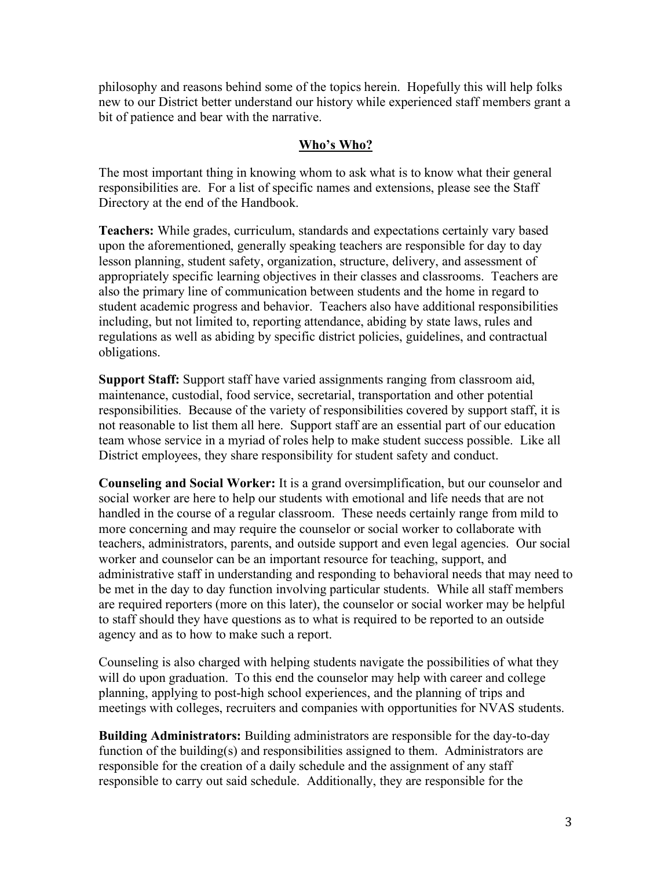philosophy and reasons behind some of the topics herein. Hopefully this will help folks new to our District better understand our history while experienced staff members grant a bit of patience and bear with the narrative.

### **Who's Who?**

The most important thing in knowing whom to ask what is to know what their general responsibilities are. For a list of specific names and extensions, please see the Staff Directory at the end of the Handbook.

**Teachers:** While grades, curriculum, standards and expectations certainly vary based upon the aforementioned, generally speaking teachers are responsible for day to day lesson planning, student safety, organization, structure, delivery, and assessment of appropriately specific learning objectives in their classes and classrooms. Teachers are also the primary line of communication between students and the home in regard to student academic progress and behavior. Teachers also have additional responsibilities including, but not limited to, reporting attendance, abiding by state laws, rules and regulations as well as abiding by specific district policies, guidelines, and contractual obligations.

**Support Staff:** Support staff have varied assignments ranging from classroom aid, maintenance, custodial, food service, secretarial, transportation and other potential responsibilities. Because of the variety of responsibilities covered by support staff, it is not reasonable to list them all here. Support staff are an essential part of our education team whose service in a myriad of roles help to make student success possible. Like all District employees, they share responsibility for student safety and conduct.

**Counseling and Social Worker:** It is a grand oversimplification, but our counselor and social worker are here to help our students with emotional and life needs that are not handled in the course of a regular classroom. These needs certainly range from mild to more concerning and may require the counselor or social worker to collaborate with teachers, administrators, parents, and outside support and even legal agencies. Our social worker and counselor can be an important resource for teaching, support, and administrative staff in understanding and responding to behavioral needs that may need to be met in the day to day function involving particular students. While all staff members are required reporters (more on this later), the counselor or social worker may be helpful to staff should they have questions as to what is required to be reported to an outside agency and as to how to make such a report.

Counseling is also charged with helping students navigate the possibilities of what they will do upon graduation. To this end the counselor may help with career and college planning, applying to post-high school experiences, and the planning of trips and meetings with colleges, recruiters and companies with opportunities for NVAS students.

**Building Administrators:** Building administrators are responsible for the day-to-day function of the building(s) and responsibilities assigned to them. Administrators are responsible for the creation of a daily schedule and the assignment of any staff responsible to carry out said schedule. Additionally, they are responsible for the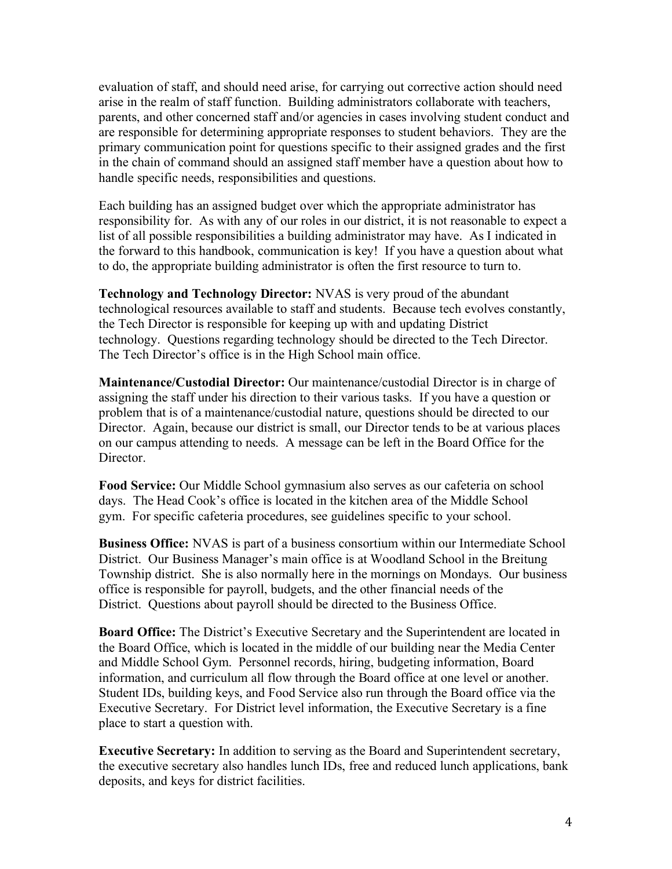evaluation of staff, and should need arise, for carrying out corrective action should need arise in the realm of staff function. Building administrators collaborate with teachers, parents, and other concerned staff and/or agencies in cases involving student conduct and are responsible for determining appropriate responses to student behaviors. They are the primary communication point for questions specific to their assigned grades and the first in the chain of command should an assigned staff member have a question about how to handle specific needs, responsibilities and questions.

Each building has an assigned budget over which the appropriate administrator has responsibility for. As with any of our roles in our district, it is not reasonable to expect a list of all possible responsibilities a building administrator may have. As I indicated in the forward to this handbook, communication is key! If you have a question about what to do, the appropriate building administrator is often the first resource to turn to.

**Technology and Technology Director:** NVAS is very proud of the abundant technological resources available to staff and students. Because tech evolves constantly, the Tech Director is responsible for keeping up with and updating District technology. Questions regarding technology should be directed to the Tech Director. The Tech Director's office is in the High School main office.

**Maintenance/Custodial Director:** Our maintenance/custodial Director is in charge of assigning the staff under his direction to their various tasks. If you have a question or problem that is of a maintenance/custodial nature, questions should be directed to our Director. Again, because our district is small, our Director tends to be at various places on our campus attending to needs. A message can be left in the Board Office for the Director.

**Food Service:** Our Middle School gymnasium also serves as our cafeteria on school days. The Head Cook's office is located in the kitchen area of the Middle School gym. For specific cafeteria procedures, see guidelines specific to your school.

**Business Office:** NVAS is part of a business consortium within our Intermediate School District. Our Business Manager's main office is at Woodland School in the Breitung Township district. She is also normally here in the mornings on Mondays. Our business office is responsible for payroll, budgets, and the other financial needs of the District. Questions about payroll should be directed to the Business Office.

**Board Office:** The District's Executive Secretary and the Superintendent are located in the Board Office, which is located in the middle of our building near the Media Center and Middle School Gym. Personnel records, hiring, budgeting information, Board information, and curriculum all flow through the Board office at one level or another. Student IDs, building keys, and Food Service also run through the Board office via the Executive Secretary. For District level information, the Executive Secretary is a fine place to start a question with.

**Executive Secretary:** In addition to serving as the Board and Superintendent secretary, the executive secretary also handles lunch IDs, free and reduced lunch applications, bank deposits, and keys for district facilities.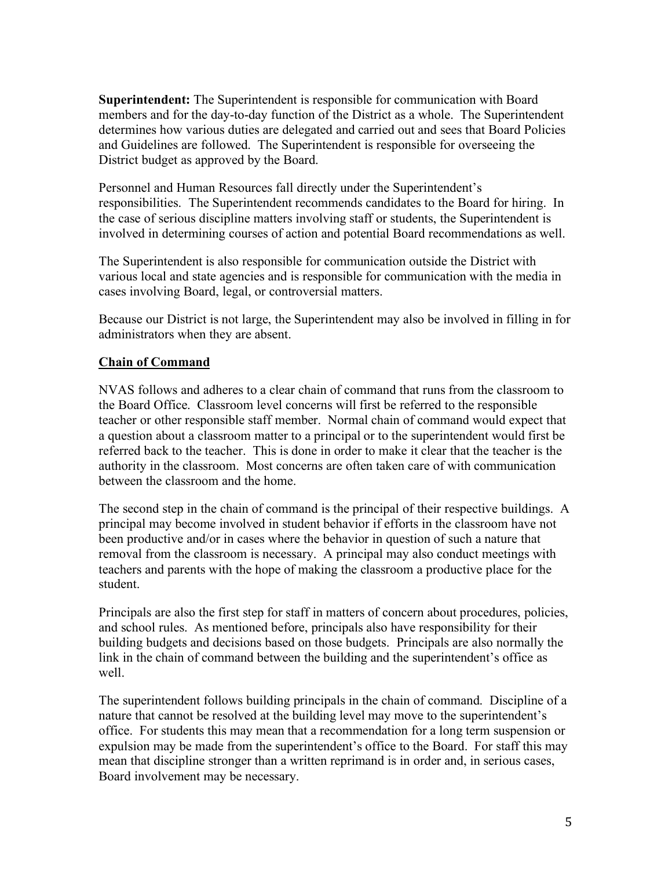**Superintendent:** The Superintendent is responsible for communication with Board members and for the day-to-day function of the District as a whole. The Superintendent determines how various duties are delegated and carried out and sees that Board Policies and Guidelines are followed. The Superintendent is responsible for overseeing the District budget as approved by the Board.

Personnel and Human Resources fall directly under the Superintendent's responsibilities. The Superintendent recommends candidates to the Board for hiring. In the case of serious discipline matters involving staff or students, the Superintendent is involved in determining courses of action and potential Board recommendations as well.

The Superintendent is also responsible for communication outside the District with various local and state agencies and is responsible for communication with the media in cases involving Board, legal, or controversial matters.

Because our District is not large, the Superintendent may also be involved in filling in for administrators when they are absent.

## **Chain of Command**

NVAS follows and adheres to a clear chain of command that runs from the classroom to the Board Office. Classroom level concerns will first be referred to the responsible teacher or other responsible staff member. Normal chain of command would expect that a question about a classroom matter to a principal or to the superintendent would first be referred back to the teacher. This is done in order to make it clear that the teacher is the authority in the classroom. Most concerns are often taken care of with communication between the classroom and the home.

The second step in the chain of command is the principal of their respective buildings. A principal may become involved in student behavior if efforts in the classroom have not been productive and/or in cases where the behavior in question of such a nature that removal from the classroom is necessary. A principal may also conduct meetings with teachers and parents with the hope of making the classroom a productive place for the student.

Principals are also the first step for staff in matters of concern about procedures, policies, and school rules. As mentioned before, principals also have responsibility for their building budgets and decisions based on those budgets. Principals are also normally the link in the chain of command between the building and the superintendent's office as well.

The superintendent follows building principals in the chain of command. Discipline of a nature that cannot be resolved at the building level may move to the superintendent's office. For students this may mean that a recommendation for a long term suspension or expulsion may be made from the superintendent's office to the Board. For staff this may mean that discipline stronger than a written reprimand is in order and, in serious cases, Board involvement may be necessary.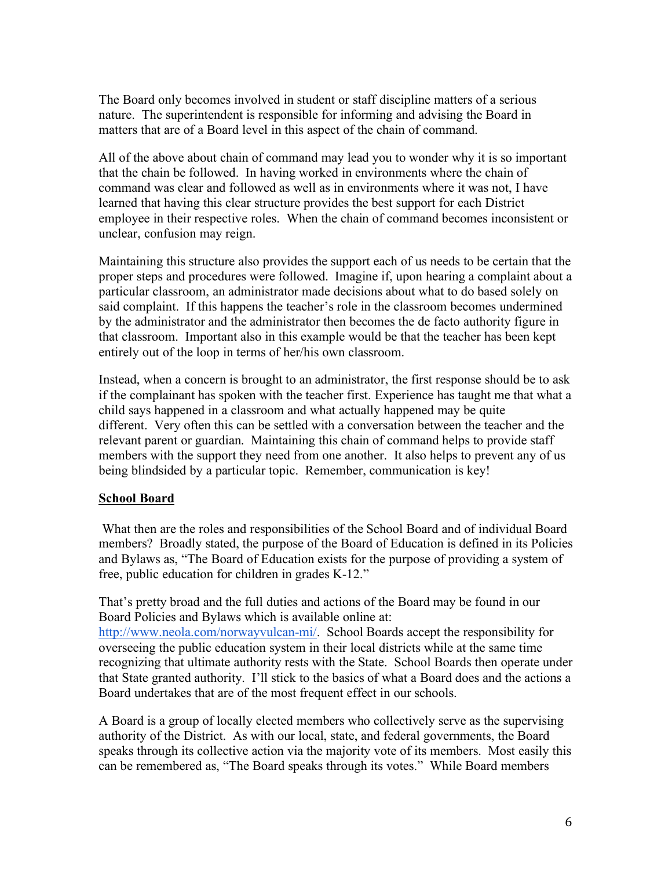The Board only becomes involved in student or staff discipline matters of a serious nature. The superintendent is responsible for informing and advising the Board in matters that are of a Board level in this aspect of the chain of command.

All of the above about chain of command may lead you to wonder why it is so important that the chain be followed. In having worked in environments where the chain of command was clear and followed as well as in environments where it was not, I have learned that having this clear structure provides the best support for each District employee in their respective roles. When the chain of command becomes inconsistent or unclear, confusion may reign.

Maintaining this structure also provides the support each of us needs to be certain that the proper steps and procedures were followed. Imagine if, upon hearing a complaint about a particular classroom, an administrator made decisions about what to do based solely on said complaint. If this happens the teacher's role in the classroom becomes undermined by the administrator and the administrator then becomes the de facto authority figure in that classroom. Important also in this example would be that the teacher has been kept entirely out of the loop in terms of her/his own classroom.

Instead, when a concern is brought to an administrator, the first response should be to ask if the complainant has spoken with the teacher first. Experience has taught me that what a child says happened in a classroom and what actually happened may be quite different. Very often this can be settled with a conversation between the teacher and the relevant parent or guardian. Maintaining this chain of command helps to provide staff members with the support they need from one another. It also helps to prevent any of us being blindsided by a particular topic. Remember, communication is key!

### **School Board**

What then are the roles and responsibilities of the School Board and of individual Board members? Broadly stated, the purpose of the Board of Education is defined in its Policies and Bylaws as, "The Board of Education exists for the purpose of providing a system of free, public education for children in grades K-12."

That's pretty broad and the full duties and actions of the Board may be found in our Board Policies and Bylaws which is available online at: http://www.neola.com/norwayvulcan-mi/. School Boards accept the responsibility for overseeing the public education system in their local districts while at the same time recognizing that ultimate authority rests with the State. School Boards then operate under that State granted authority. I'll stick to the basics of what a Board does and the actions a Board undertakes that are of the most frequent effect in our schools.

A Board is a group of locally elected members who collectively serve as the supervising authority of the District. As with our local, state, and federal governments, the Board speaks through its collective action via the majority vote of its members. Most easily this can be remembered as, "The Board speaks through its votes." While Board members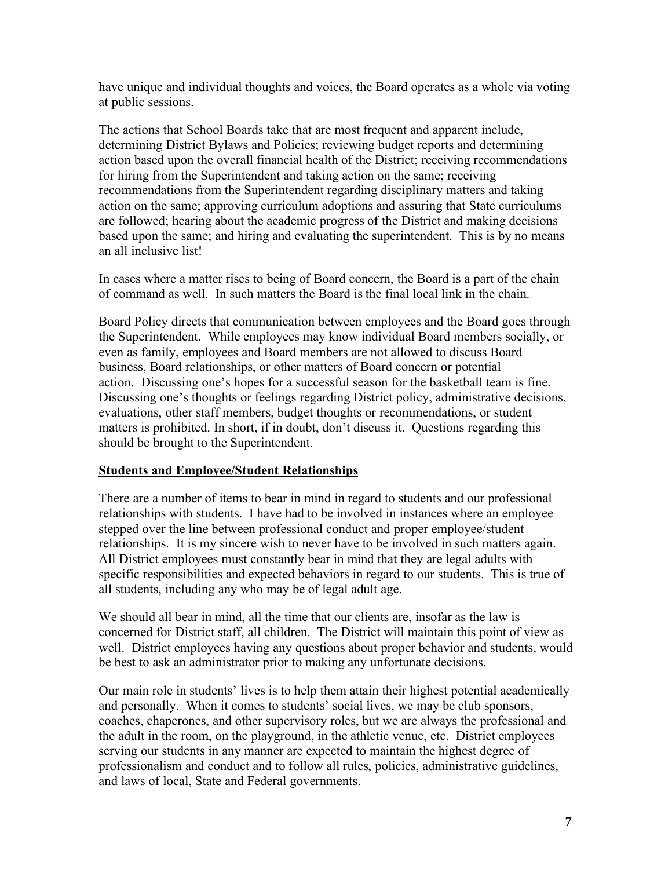have unique and individual thoughts and voices, the Board operates as a whole via voting at public sessions.

The actions that School Boards take that are most frequent and apparent include, determining District Bylaws and Policies; reviewing budget reports and determining action based upon the overall financial health of the District; receiving recommendations for hiring from the Superintendent and taking action on the same; receiving recommendations from the Superintendent regarding disciplinary matters and taking action on the same; approving curriculum adoptions and assuring that State curriculums are followed; hearing about the academic progress of the District and making decisions based upon the same; and hiring and evaluating the superintendent. This is by no means an all inclusive list!

In cases where a matter rises to being of Board concern, the Board is a part of the chain of command as well. In such matters the Board is the final local link in the chain.

Board Policy directs that communication between employees and the Board goes through the Superintendent. While employees may know individual Board members socially, or even as family, employees and Board members are not allowed to discuss Board business, Board relationships, or other matters of Board concern or potential action. Discussing one's hopes for a successful season for the basketball team is fine. Discussing one's thoughts or feelings regarding District policy, administrative decisions, evaluations, other staff members, budget thoughts or recommendations, or student matters is prohibited. In short, if in doubt, don't discuss it. Questions regarding this should be brought to the Superintendent.

## **Students and Employee/Student Relationships**

There are a number of items to bear in mind in regard to students and our professional relationships with students. I have had to be involved in instances where an employee stepped over the line between professional conduct and proper employee/student relationships. It is my sincere wish to never have to be involved in such matters again. All District employees must constantly bear in mind that they are legal adults with specific responsibilities and expected behaviors in regard to our students. This is true of all students, including any who may be of legal adult age.

We should all bear in mind, all the time that our clients are, insofar as the law is concerned for District staff, all children. The District will maintain this point of view as well. District employees having any questions about proper behavior and students, would be best to ask an administrator prior to making any unfortunate decisions.

Our main role in students' lives is to help them attain their highest potential academically and personally. When it comes to students' social lives, we may be club sponsors, coaches, chaperones, and other supervisory roles, but we are always the professional and the adult in the room, on the playground, in the athletic venue, etc. District employees serving our students in any manner are expected to maintain the highest degree of professionalism and conduct and to follow all rules, policies, administrative guidelines, and laws of local, State and Federal governments.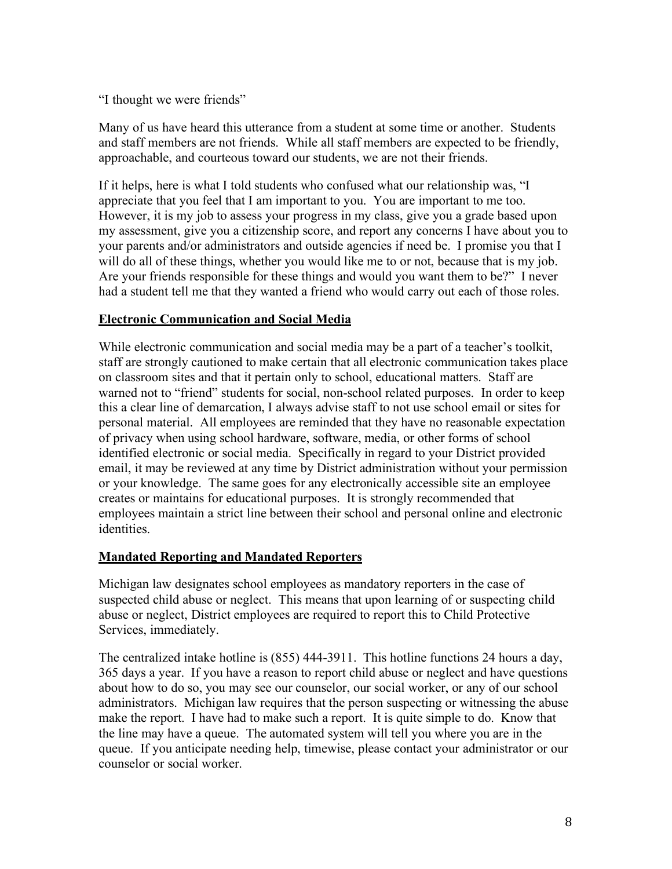"I thought we were friends"

Many of us have heard this utterance from a student at some time or another. Students and staff members are not friends. While all staff members are expected to be friendly, approachable, and courteous toward our students, we are not their friends.

If it helps, here is what I told students who confused what our relationship was, "I appreciate that you feel that I am important to you. You are important to me too. However, it is my job to assess your progress in my class, give you a grade based upon my assessment, give you a citizenship score, and report any concerns I have about you to your parents and/or administrators and outside agencies if need be. I promise you that I will do all of these things, whether you would like me to or not, because that is my job. Are your friends responsible for these things and would you want them to be?" I never had a student tell me that they wanted a friend who would carry out each of those roles.

# **Electronic Communication and Social Media**

While electronic communication and social media may be a part of a teacher's toolkit, staff are strongly cautioned to make certain that all electronic communication takes place on classroom sites and that it pertain only to school, educational matters. Staff are warned not to "friend" students for social, non-school related purposes. In order to keep this a clear line of demarcation, I always advise staff to not use school email or sites for personal material. All employees are reminded that they have no reasonable expectation of privacy when using school hardware, software, media, or other forms of school identified electronic or social media. Specifically in regard to your District provided email, it may be reviewed at any time by District administration without your permission or your knowledge. The same goes for any electronically accessible site an employee creates or maintains for educational purposes. It is strongly recommended that employees maintain a strict line between their school and personal online and electronic identities.

## **Mandated Reporting and Mandated Reporters**

Michigan law designates school employees as mandatory reporters in the case of suspected child abuse or neglect. This means that upon learning of or suspecting child abuse or neglect, District employees are required to report this to Child Protective Services, immediately.

The centralized intake hotline is (855) 444-3911. This hotline functions 24 hours a day, 365 days a year. If you have a reason to report child abuse or neglect and have questions about how to do so, you may see our counselor, our social worker, or any of our school administrators. Michigan law requires that the person suspecting or witnessing the abuse make the report. I have had to make such a report. It is quite simple to do. Know that the line may have a queue. The automated system will tell you where you are in the queue. If you anticipate needing help, timewise, please contact your administrator or our counselor or social worker.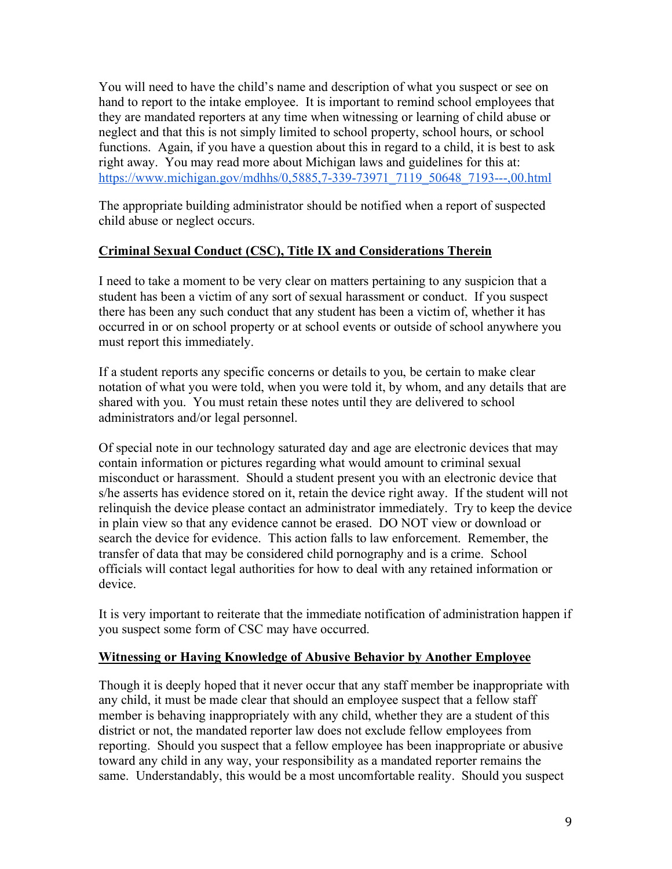You will need to have the child's name and description of what you suspect or see on hand to report to the intake employee. It is important to remind school employees that they are mandated reporters at any time when witnessing or learning of child abuse or neglect and that this is not simply limited to school property, school hours, or school functions. Again, if you have a question about this in regard to a child, it is best to ask right away. You may read more about Michigan laws and guidelines for this at: https://www.michigan.gov/mdhhs/0,5885,7-339-73971\_7119\_50648\_7193---,00.html

The appropriate building administrator should be notified when a report of suspected child abuse or neglect occurs.

# **Criminal Sexual Conduct (CSC), Title IX and Considerations Therein**

I need to take a moment to be very clear on matters pertaining to any suspicion that a student has been a victim of any sort of sexual harassment or conduct. If you suspect there has been any such conduct that any student has been a victim of, whether it has occurred in or on school property or at school events or outside of school anywhere you must report this immediately.

If a student reports any specific concerns or details to you, be certain to make clear notation of what you were told, when you were told it, by whom, and any details that are shared with you. You must retain these notes until they are delivered to school administrators and/or legal personnel.

Of special note in our technology saturated day and age are electronic devices that may contain information or pictures regarding what would amount to criminal sexual misconduct or harassment. Should a student present you with an electronic device that s/he asserts has evidence stored on it, retain the device right away. If the student will not relinquish the device please contact an administrator immediately. Try to keep the device in plain view so that any evidence cannot be erased. DO NOT view or download or search the device for evidence. This action falls to law enforcement. Remember, the transfer of data that may be considered child pornography and is a crime. School officials will contact legal authorities for how to deal with any retained information or device.

It is very important to reiterate that the immediate notification of administration happen if you suspect some form of CSC may have occurred.

## **Witnessing or Having Knowledge of Abusive Behavior by Another Employee**

Though it is deeply hoped that it never occur that any staff member be inappropriate with any child, it must be made clear that should an employee suspect that a fellow staff member is behaving inappropriately with any child, whether they are a student of this district or not, the mandated reporter law does not exclude fellow employees from reporting. Should you suspect that a fellow employee has been inappropriate or abusive toward any child in any way, your responsibility as a mandated reporter remains the same. Understandably, this would be a most uncomfortable reality. Should you suspect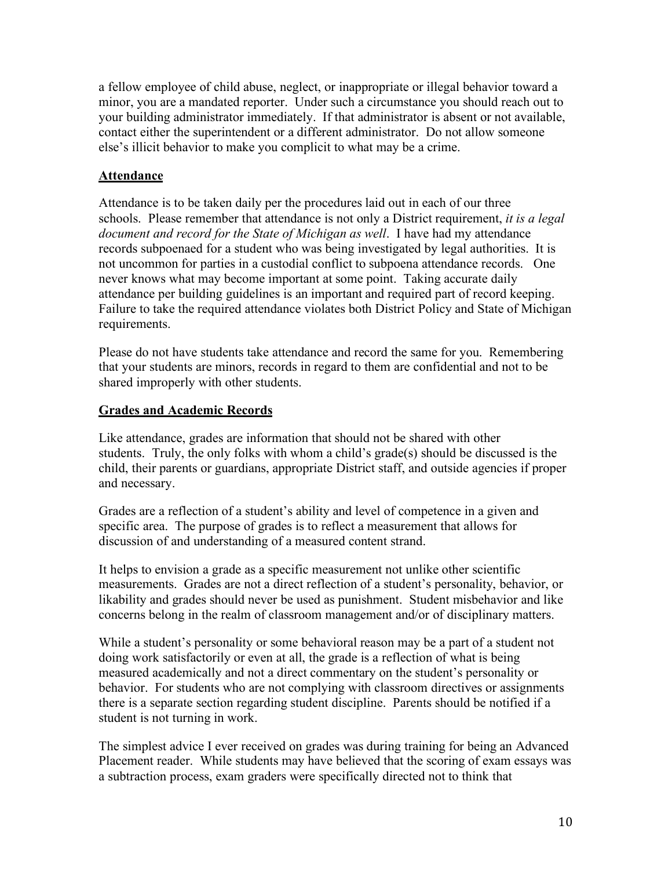a fellow employee of child abuse, neglect, or inappropriate or illegal behavior toward a minor, you are a mandated reporter. Under such a circumstance you should reach out to your building administrator immediately. If that administrator is absent or not available, contact either the superintendent or a different administrator. Do not allow someone else's illicit behavior to make you complicit to what may be a crime.

# **Attendance**

Attendance is to be taken daily per the procedures laid out in each of our three schools. Please remember that attendance is not only a District requirement, *it is a legal document and record for the State of Michigan as well*. I have had my attendance records subpoenaed for a student who was being investigated by legal authorities. It is not uncommon for parties in a custodial conflict to subpoena attendance records. One never knows what may become important at some point. Taking accurate daily attendance per building guidelines is an important and required part of record keeping. Failure to take the required attendance violates both District Policy and State of Michigan requirements.

Please do not have students take attendance and record the same for you. Remembering that your students are minors, records in regard to them are confidential and not to be shared improperly with other students.

# **Grades and Academic Records**

Like attendance, grades are information that should not be shared with other students. Truly, the only folks with whom a child's grade(s) should be discussed is the child, their parents or guardians, appropriate District staff, and outside agencies if proper and necessary.

Grades are a reflection of a student's ability and level of competence in a given and specific area. The purpose of grades is to reflect a measurement that allows for discussion of and understanding of a measured content strand.

It helps to envision a grade as a specific measurement not unlike other scientific measurements. Grades are not a direct reflection of a student's personality, behavior, or likability and grades should never be used as punishment. Student misbehavior and like concerns belong in the realm of classroom management and/or of disciplinary matters.

While a student's personality or some behavioral reason may be a part of a student not doing work satisfactorily or even at all, the grade is a reflection of what is being measured academically and not a direct commentary on the student's personality or behavior. For students who are not complying with classroom directives or assignments there is a separate section regarding student discipline. Parents should be notified if a student is not turning in work.

The simplest advice I ever received on grades was during training for being an Advanced Placement reader. While students may have believed that the scoring of exam essays was a subtraction process, exam graders were specifically directed not to think that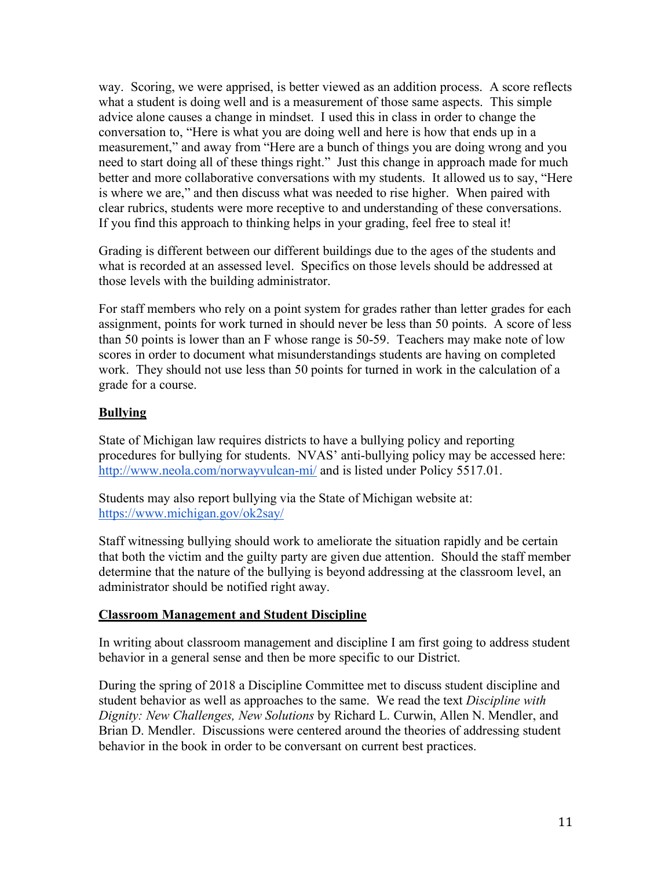way. Scoring, we were apprised, is better viewed as an addition process. A score reflects what a student is doing well and is a measurement of those same aspects. This simple advice alone causes a change in mindset. I used this in class in order to change the conversation to, "Here is what you are doing well and here is how that ends up in a measurement," and away from "Here are a bunch of things you are doing wrong and you need to start doing all of these things right." Just this change in approach made for much better and more collaborative conversations with my students. It allowed us to say, "Here is where we are," and then discuss what was needed to rise higher. When paired with clear rubrics, students were more receptive to and understanding of these conversations. If you find this approach to thinking helps in your grading, feel free to steal it!

Grading is different between our different buildings due to the ages of the students and what is recorded at an assessed level. Specifics on those levels should be addressed at those levels with the building administrator.

For staff members who rely on a point system for grades rather than letter grades for each assignment, points for work turned in should never be less than 50 points. A score of less than 50 points is lower than an F whose range is 50-59. Teachers may make note of low scores in order to document what misunderstandings students are having on completed work. They should not use less than 50 points for turned in work in the calculation of a grade for a course.

## **Bullying**

State of Michigan law requires districts to have a bullying policy and reporting procedures for bullying for students. NVAS' anti-bullying policy may be accessed here: http://www.neola.com/norwayvulcan-mi/ and is listed under Policy 5517.01.

Students may also report bullying via the State of Michigan website at: https://www.michigan.gov/ok2say/

Staff witnessing bullying should work to ameliorate the situation rapidly and be certain that both the victim and the guilty party are given due attention. Should the staff member determine that the nature of the bullying is beyond addressing at the classroom level, an administrator should be notified right away.

## **Classroom Management and Student Discipline**

In writing about classroom management and discipline I am first going to address student behavior in a general sense and then be more specific to our District.

During the spring of 2018 a Discipline Committee met to discuss student discipline and student behavior as well as approaches to the same. We read the text *Discipline with Dignity: New Challenges, New Solutions* by Richard L. Curwin, Allen N. Mendler, and Brian D. Mendler. Discussions were centered around the theories of addressing student behavior in the book in order to be conversant on current best practices.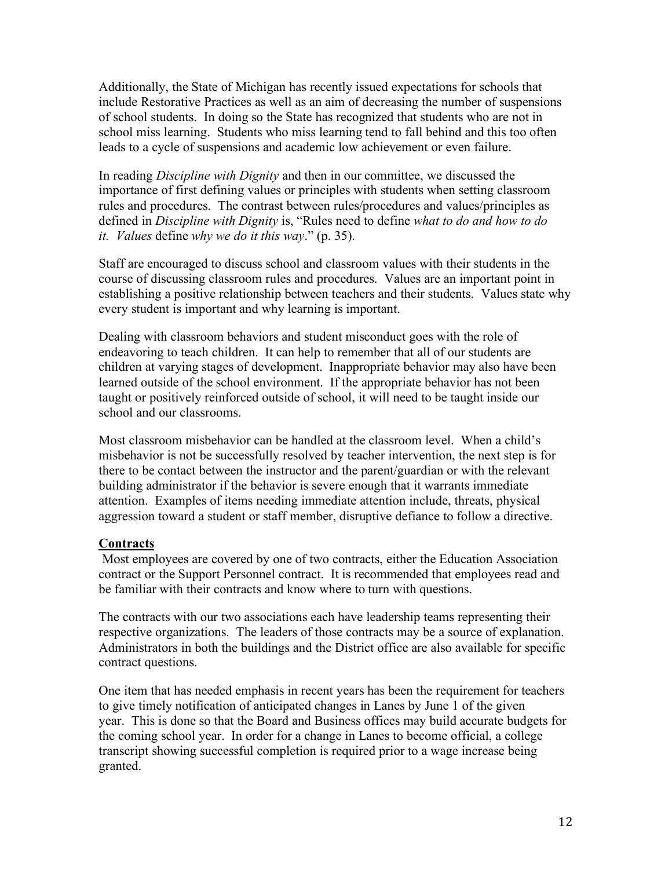Additionally, the State of Michigan has recently issued expectations for schools that include Restorative Practices as well as an aim of decreasing the number of suspensions of school students. In doing so the State has recognized that students who are not in school miss learning. Students who miss learning tend to fall behind and this too often leads to a cycle of suspensions and academic low achievement or even failure.

In reading *Discipline with Dignity* and then in our committee, we discussed the importance of first defining values or principles with students when setting classroom rules and procedures. The contrast between rules/procedures and values/principles as defined in *Discipline with Dignity* is, "Rules need to define *what to do and how to do it. Values* define *why we do it this way*." (p. 35).

Staff are encouraged to discuss school and classroom values with their students in the course of discussing classroom rules and procedures. Values are an important point in establishing a positive relationship between teachers and their students. Values state why every student is important and why learning is important.

Dealing with classroom behaviors and student misconduct goes with the role of endeavoring to teach children. It can help to remember that all of our students are children at varying stages of development. Inappropriate behavior may also have been learned outside of the school environment. If the appropriate behavior has not been taught or positively reinforced outside of school, it will need to be taught inside our school and our classrooms.

Most classroom misbehavior can be handled at the classroom level. When a child's misbehavior is not be successfully resolved by teacher intervention, the next step is for there to be contact between the instructor and the parent/guardian or with the relevant building administrator if the behavior is severe enough that it warrants immediate attention. Examples of items needing immediate attention include, threats, physical aggression toward a student or staff member, disruptive defiance to follow a directive.

## **Contracts**

Most employees are covered by one of two contracts, either the Education Association contract or the Support Personnel contract. It is recommended that employees read and be familiar with their contracts and know where to turn with questions.

The contracts with our two associations each have leadership teams representing their respective organizations. The leaders of those contracts may be a source of explanation. Administrators in both the buildings and the District office are also available for specific contract questions.

One item that has needed emphasis in recent years has been the requirement for teachers to give timely notification of anticipated changes in Lanes by June 1 of the given year. This is done so that the Board and Business offices may build accurate budgets for the coming school year. In order for a change in Lanes to become official, a college transcript showing successful completion is required prior to a wage increase being granted.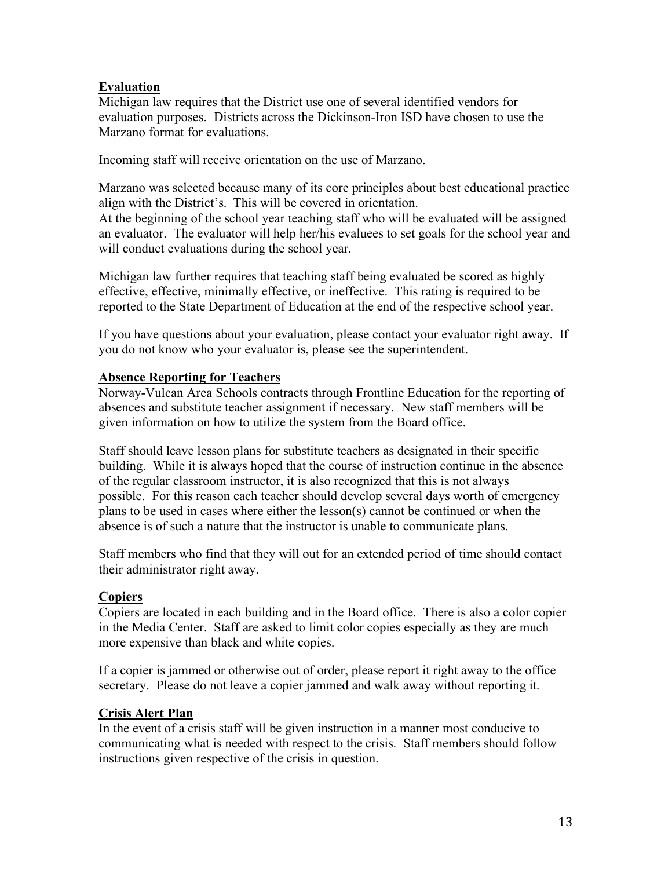# **Evaluation**

Michigan law requires that the District use one of several identified vendors for evaluation purposes. Districts across the Dickinson-Iron ISD have chosen to use the Marzano format for evaluations.

Incoming staff will receive orientation on the use of Marzano.

Marzano was selected because many of its core principles about best educational practice align with the District's. This will be covered in orientation. At the beginning of the school year teaching staff who will be evaluated will be assigned an evaluator. The evaluator will help her/his evaluees to set goals for the school year and will conduct evaluations during the school year.

Michigan law further requires that teaching staff being evaluated be scored as highly effective, effective, minimally effective, or ineffective. This rating is required to be reported to the State Department of Education at the end of the respective school year.

If you have questions about your evaluation, please contact your evaluator right away. If you do not know who your evaluator is, please see the superintendent.

## **Absence Reporting for Teachers**

Norway-Vulcan Area Schools contracts through Frontline Education for the reporting of absences and substitute teacher assignment if necessary. New staff members will be given information on how to utilize the system from the Board office.

Staff should leave lesson plans for substitute teachers as designated in their specific building. While it is always hoped that the course of instruction continue in the absence of the regular classroom instructor, it is also recognized that this is not always possible. For this reason each teacher should develop several days worth of emergency plans to be used in cases where either the lesson(s) cannot be continued or when the absence is of such a nature that the instructor is unable to communicate plans.

Staff members who find that they will out for an extended period of time should contact their administrator right away.

## **Copiers**

Copiers are located in each building and in the Board office. There is also a color copier in the Media Center. Staff are asked to limit color copies especially as they are much more expensive than black and white copies.

If a copier is jammed or otherwise out of order, please report it right away to the office secretary. Please do not leave a copier jammed and walk away without reporting it.

## **Crisis Alert Plan**

In the event of a crisis staff will be given instruction in a manner most conducive to communicating what is needed with respect to the crisis. Staff members should follow instructions given respective of the crisis in question.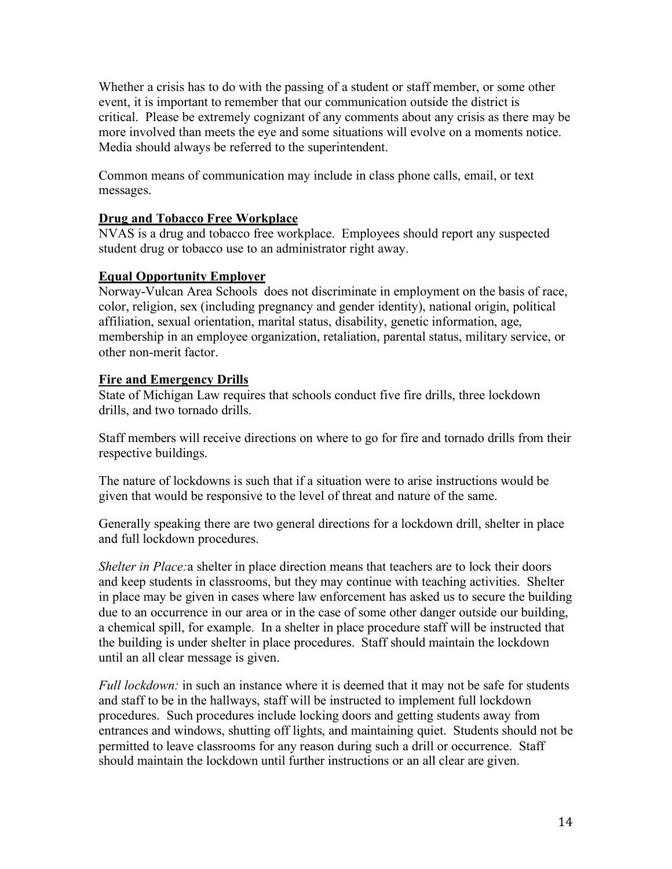Whether a crisis has to do with the passing of a student or staff member, or some other event, it is important to remember that our communication outside the district is critical. Please be extremely cognizant of any comments about any crisis as there may be more involved than meets the eye and some situations will evolve on a moments notice. Media should always be referred to the superintendent.

Common means of communication may include in class phone calls, email, or text messages.

## **Drug and Tobacco Free Workplace**

NVAS is a drug and tobacco free workplace. Employees should report any suspected student drug or tobacco use to an administrator right away.

### **Equal Opportunity Employer**

Norway-Vulcan Area Schools does not discriminate in employment on the basis of race, color, religion, sex (including pregnancy and gender identity), national origin, political affiliation, sexual orientation, marital status, disability, genetic information, age, membership in an employee organization, retaliation, parental status, military service, or other non-merit factor.

### **Fire and Emergency Drills**

State of Michigan Law requires that schools conduct five fire drills, three lockdown drills, and two tornado drills.

Staff members will receive directions on where to go for fire and tornado drills from their respective buildings.

The nature of lockdowns is such that if a situation were to arise instructions would be given that would be responsive to the level of threat and nature of the same.

Generally speaking there are two general directions for a lockdown drill, shelter in place and full lockdown procedures.

*Shelter in Place:*a shelter in place direction means that teachers are to lock their doors and keep students in classrooms, but they may continue with teaching activities. Shelter in place may be given in cases where law enforcement has asked us to secure the building due to an occurrence in our area or in the case of some other danger outside our building, a chemical spill, for example. In a shelter in place procedure staff will be instructed that the building is under shelter in place procedures. Staff should maintain the lockdown until an all clear message is given.

*Full lockdown:* in such an instance where it is deemed that it may not be safe for students and staff to be in the hallways, staff will be instructed to implement full lockdown procedures. Such procedures include locking doors and getting students away from entrances and windows, shutting off lights, and maintaining quiet. Students should not be permitted to leave classrooms for any reason during such a drill or occurrence. Staff should maintain the lockdown until further instructions or an all clear are given.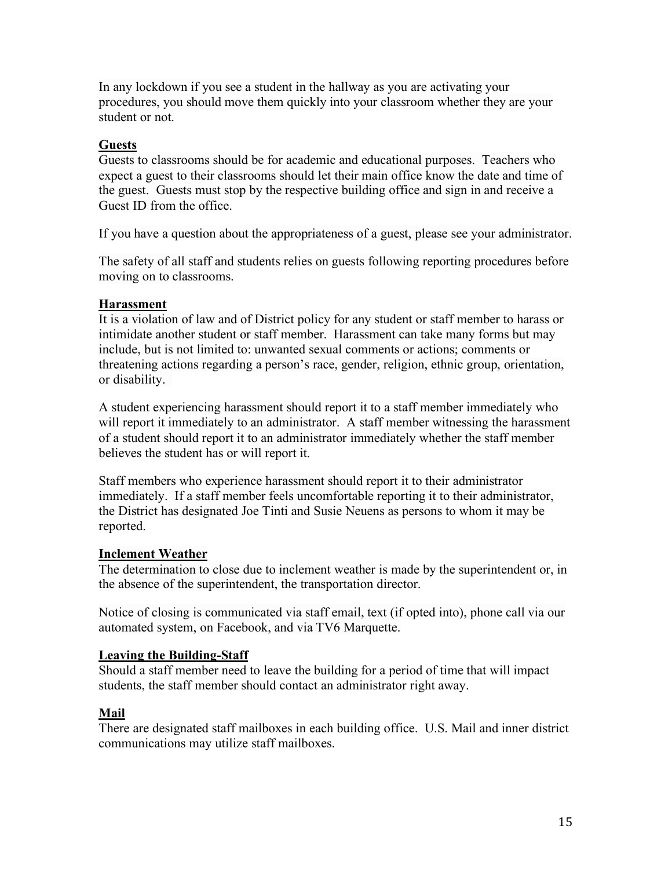In any lockdown if you see a student in the hallway as you are activating your procedures, you should move them quickly into your classroom whether they are your student or not.

## **Guests**

Guests to classrooms should be for academic and educational purposes. Teachers who expect a guest to their classrooms should let their main office know the date and time of the guest. Guests must stop by the respective building office and sign in and receive a Guest ID from the office.

If you have a question about the appropriateness of a guest, please see your administrator.

The safety of all staff and students relies on guests following reporting procedures before moving on to classrooms.

# **Harassment**

It is a violation of law and of District policy for any student or staff member to harass or intimidate another student or staff member. Harassment can take many forms but may include, but is not limited to: unwanted sexual comments or actions; comments or threatening actions regarding a person's race, gender, religion, ethnic group, orientation, or disability.

A student experiencing harassment should report it to a staff member immediately who will report it immediately to an administrator. A staff member witnessing the harassment of a student should report it to an administrator immediately whether the staff member believes the student has or will report it.

Staff members who experience harassment should report it to their administrator immediately. If a staff member feels uncomfortable reporting it to their administrator, the District has designated Joe Tinti and Susie Neuens as persons to whom it may be reported.

## **Inclement Weather**

The determination to close due to inclement weather is made by the superintendent or, in the absence of the superintendent, the transportation director.

Notice of closing is communicated via staff email, text (if opted into), phone call via our automated system, on Facebook, and via TV6 Marquette.

## **Leaving the Building-Staff**

Should a staff member need to leave the building for a period of time that will impact students, the staff member should contact an administrator right away.

# **Mail**

There are designated staff mailboxes in each building office. U.S. Mail and inner district communications may utilize staff mailboxes.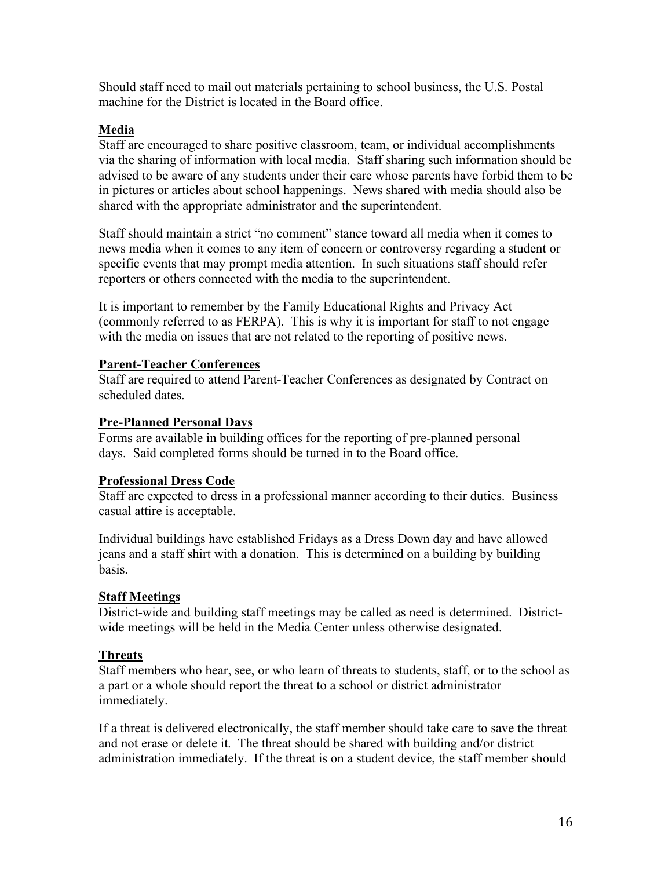Should staff need to mail out materials pertaining to school business, the U.S. Postal machine for the District is located in the Board office.

## **Media**

Staff are encouraged to share positive classroom, team, or individual accomplishments via the sharing of information with local media. Staff sharing such information should be advised to be aware of any students under their care whose parents have forbid them to be in pictures or articles about school happenings. News shared with media should also be shared with the appropriate administrator and the superintendent.

Staff should maintain a strict "no comment" stance toward all media when it comes to news media when it comes to any item of concern or controversy regarding a student or specific events that may prompt media attention. In such situations staff should refer reporters or others connected with the media to the superintendent.

It is important to remember by the Family Educational Rights and Privacy Act (commonly referred to as FERPA). This is why it is important for staff to not engage with the media on issues that are not related to the reporting of positive news.

## **Parent-Teacher Conferences**

Staff are required to attend Parent-Teacher Conferences as designated by Contract on scheduled dates.

### **Pre-Planned Personal Days**

Forms are available in building offices for the reporting of pre-planned personal days. Said completed forms should be turned in to the Board office.

## **Professional Dress Code**

Staff are expected to dress in a professional manner according to their duties. Business casual attire is acceptable.

Individual buildings have established Fridays as a Dress Down day and have allowed jeans and a staff shirt with a donation. This is determined on a building by building basis.

## **Staff Meetings**

District-wide and building staff meetings may be called as need is determined. Districtwide meetings will be held in the Media Center unless otherwise designated.

## **Threats**

Staff members who hear, see, or who learn of threats to students, staff, or to the school as a part or a whole should report the threat to a school or district administrator immediately.

If a threat is delivered electronically, the staff member should take care to save the threat and not erase or delete it. The threat should be shared with building and/or district administration immediately. If the threat is on a student device, the staff member should